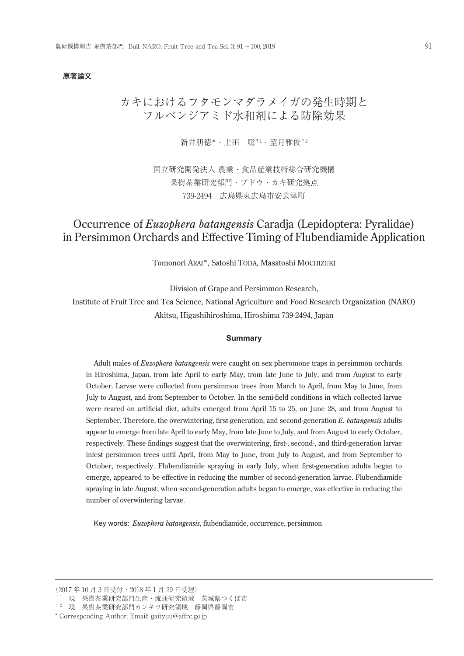#### 原著論文

# カキにおけるフタモンマダラメイガの発生時期と フルベンジアミド水和剤による防除効果

新井朋徳\*・土田 聡†1・望月雅俊†2

国立研究開発法人 農業・食品産業技術総合研究機構 果樹茶業研究部門・ブドウ・カキ研究拠点 739-2494 広島県東広島市安芸津町

# Occurrence of *Euzophera batangensis* Caradja (Lepidoptera: Pyralidae) in Persimmon Orchards and Effective Timing of Flubendiamide Application

Tomonori ARAI\*, Satoshi TODA, Masatoshi MOCHIZUKI

Division of Grape and Persimmon Research,

Institute of Fruit Tree and Tea Science, National Agriculture and Food Research Organization (NARO) Akitsu, Higashihiroshima, Hiroshima 739-2494, Japan

#### **Summary**

Adult males of *Euzophera batangensis* were caught on sex pheromone traps in persimmon orchards in Hiroshima, Japan, from late April to early May, from late June to July, and from August to early October. Larvae were collected from persimmon trees from March to April, from May to June, from July to August, and from September to October. In the semi-field conditions in which collected larvae were reared on artificial diet, adults emerged from April 15 to 25, on June 28, and from August to September. Therefore, the overwintering, first-generation, and second-generation *E. batangensis* adults appear to emerge from late April to early May, from late June to July, and from August to early October, respectively. These findings suggest that the overwintering, first-, second-, and third-generation larvae infest persimmon trees until April, from May to June, from July to August, and from September to October, respectively. Flubendiamide spraying in early July, when first-generation adults began to emerge, appeared to be effective in reducing the number of second-generation larvae. Flubendiamide spraying in late August, when second-generation adults began to emerge, was effective in reducing the number of overwintering larvae.

Key words: *Euzophera batangensis*, flubendiamide, occurrence, persimmon

<sup>(2017</sup> 年 10 月 3 日受付・2018 年 1 月 29 日受理)

<sup>† 1</sup> 現 果樹茶業研究部門生産・流通研究領域 茨城県つくば市

 $^{\dagger\,2}\,$  現 果樹茶業研究部門カンキツ研究領域 静岡県静岡市

<sup>\*</sup> Corresponding Author. Email: gaityuu@affrc.go.jp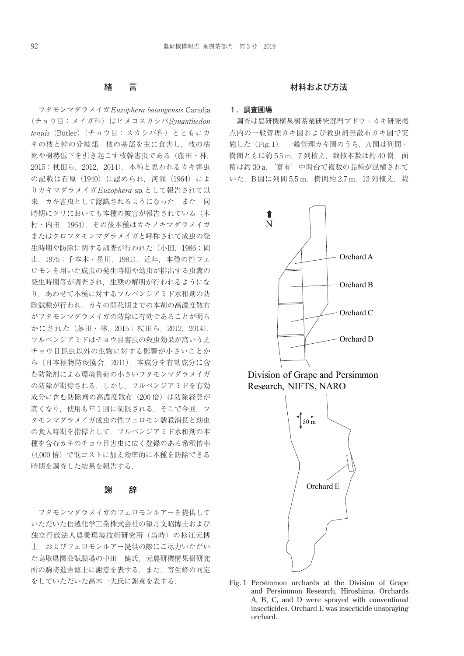# 緒 言

フタモンマダラメイガEuzophera batangensis Caradja (チョウ目:メイガ科)はヒメコスカシバSynanthedon tenuis(Butler)(チョウ目:スカシバ科)とともにカ キの枝と幹の分岐部,枝の基部を主に食害し,枝の枯 死や樹勢低下を引き起こす枝幹害虫である(藤田・林, 2015;杖田ら,2012,2014).本種と思われるカキ害虫 の記載は石原(1940)に認められ,河瀬(1964)によ りカキマダラメイガEuzophera sp.として報告されて以 来. カキ害虫として認識されるようになった. また. 同 時期にクリにおいても本種の被害が報告されている(木 村・内田,1964).その後本種はカキノキマダラメイガ またはクロフタモンマダラメイガと呼称されて成虫の発 生時期や防除に関する調査が行われた(小田, 1986;岡 山,1975;千本木・星川,1981).近年,本種の性フェ ロモンを用いた成虫の発生時期や幼虫が排出する虫糞の 発生時期等が調査され,生態の解明が行われるようにな り,あわせて本種に対するフルベンジアミド水和剤の防 除試験が行われ,カキの開花期までの本剤の高濃度散布 がフタモンマダラメイガの防除に有効であることが明ら かにされた(藤田・林,2015;杖田ら,2012,2014). フルベンジアミドはチョウ目害虫の殺虫効果が高いうえ チョウ目昆虫以外の生物に対する影響が小さいことか ら(日本植物防疫協会,2011),本成分を有効成分に含 む防除剤による環境負荷の小さいフタモンマダラメイガ の防除が期待される.しかし,フルベンジアミドを有効 成分に含む防除剤の高濃度散布 (200倍)は防除経費が 高くなり、使用も年1回に制限される. そこで今回, フ タモンマダラメイガ成虫の性フェロモン誘殺消長と幼虫 の食入時期を指標として,フルベンジアミド水和剤の本 種を含むカキのチョウ目害虫に広く登録のある希釈倍率 (4,000 倍)で低コストに加え効率的に本種を防除できる 時期を調査した結果を報告する.

## 謝 辞

フタモンマダラメイガのフェロモンルアーを提供して いただいた信越化学工業株式会社の望月文昭博士および 独立行政法人農業環境技術研究所(当時)の杉江元博 士,およびフェロモンルアー提供の際にご尽力いただい た鳥取県園芸試験場の中田 健氏,元農研機構果樹研究 所の駒崎進吉博士に謝意を表する.また,寄生蜂の同定 をしていただいた高木一夫氏に謝意を表する.

### 材料および方法

#### 1. 調査圃場

調査は農研機構果樹茶業研究部門ブドウ・カキ研究拠 点内の一般管理カキ園および殺虫剤無散布カキ園で実 施した(Fig. 1).一般管理カキ園のうち,A園は列間・ 樹間ともに約 5.5 m, 7 列植え, 栽植本数は約 40 樹, 面 積は約 30 a,'富有'中間台で複数の品種が混植されて いた. B園は列間 5.5 m, 樹間約 2.7 m, 13 列植え, 栽







Fig. 1 Persimmon orchards at the Division of Grape and Persimmon Research, Hiroshima. Orchards A, B, C, and D were sprayed with conventional insecticides. Orchard E was insecticide unspraying orchard.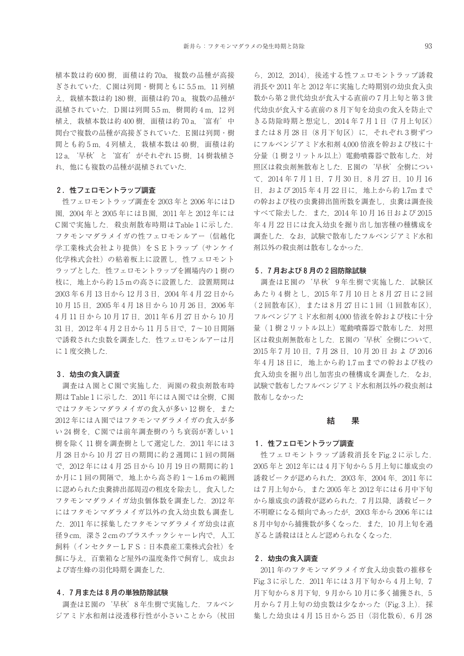植本数は約 600 樹,面積は約 70a,複数の品種が高接 ぎされていた.C園は列間・樹間ともに 5.5 m,11 列植 え、栽植本数は約 180 樹, 面積は約 70 a, 複数の品種が 混植されていた. D園は列間 5.5 m. 樹間約 4 m. 12 列 植え,栽植本数は約 400 樹,面積は約 70 a,'富有'中 間台で複数の品種が高接ぎされていた.E園は列間・樹 間とも約5m, 4 列植え, 栽植本数は 40 樹, 面積は約 12 a,'早秋'と'富有'がそれぞれ 15 樹,14 樹栽植さ れ,他にも複数の品種が混植されていた.

## 2 .性フェロモントラップ調査

性フェロモントラップ調査を 2003 年と 2006 年にはD 園,2004 年と 2005 年にはB園,2011 年と 2012 年には C園で実施した. 殺虫剤散布時期はTable 1 に示した. フタモンマダラメイガの性フェロモンルアー(信越化 学工業株式会社より提供)をSEトラップ (サンケイ 化学株式会社)の粘着板上に設置し,性フェロモント ラップとした. 性フェロモントラップを圃場内の1樹の 枝に、地上から約 1.5 mの高さに設置した. 設置期間は 2003 年 6 月 13 日から 12 月 3 日,2004 年 4 月 22 日から 10 月 15 日, 2005 年 4 月 18 日 か ら 10 月 26 日, 2006 年 4 月 11 日から 10 月 17 日,2011 年 6 月 27 日から 10 月 31 日,2012 年 4 月 2 日から 11 月 5 日で,7~10 日間隔 で誘殺された虫数を調査した.性フェロモンルアーは月 に 1 度交換した.

#### 3. 幼虫の食入調査

調査はA園とC園で実施した.両園の殺虫剤散布時 期はTable 1 に示した. 2011 年にはA園では全樹, C園 ではフタモンマダラメイガの食入が多い12樹を、また 2012 年にはA園ではフタモンマダラメイガの食入が多 い 24 樹を,C園では前年調査樹のうち衰弱が著しい 1 樹を除く11 樹を調査樹として選定した. 2011 年には3 月 28 日から 10 月 27 日の期間に約 2 週間に 1 回の間隔 で,2012 年には 4 月 25 日から 10 月 19 日の期間に約 1  $D \rightarrow \mathcal{N}$  回の間隔で、地上から高さ約  $1 \sim 1.6$  mの範囲 に認められた虫糞排出部周辺の粗皮を除去し,食入した フタモンマダラメイガ幼虫個体数を調査した. 2012年 にはフタモンマダラメイガ以外の食入幼虫数も調査し た.2011 年に採集したフタモンマダラメイガ幼虫は直 径 9 cm, 深さ 2 cm のプラスチックシャーレ内で, 人工 飼料(インセクターLFS;日本農産工業株式会社)を 餌に与え,百葉箱など屋外の温度条件で飼育し,成虫お よび寄生蜂の羽化時期を調査した.

#### 4 .7 月または 8 月の単独防除試験

調査はE園の'早秋'8 年生樹で実施した.フルベン ジアミド水和剤は浸透移行性が小さいことから(杖田

ら,2012,2014),後述する性フェロモントラップ誘殺 消長や 2011 年と 2012 年に実施した時期別の幼虫食入虫 数から第 2 世代幼虫が食入する直前の 7 月上旬と第 3 世 代幼虫が食入する直前の 8 月下旬を幼虫の食入を防止で きる防除時期と想定し,2014 年 7 月 1 日(7 月上旬区) または8月28日 (8月下旬区)に、それぞれ3樹ずつ にフルベンジアミド水和剤 4,000 倍液を幹および枝に十 分量(1樹2リットル以上)電動噴霧器で散布した.対 照区は殺虫剤無散布とした.E園の'早秋'全樹につい て,2014 年 7 月 1 日,7 月 30 日,8 月 27 日,10 月 16 日,および 2015 年 4 月 22 日に,地上から約 1.7mまで の幹および枝の虫糞排出箇所数を調査し、虫糞は調査後 すべて除去した.また,2014 年 10 月 16 日および 2015 年 4 月 22 日には食入幼虫を掘り出し加害種の種構成を 調査した.なお,試験で散布したフルベンジアミド水和 剤以外の殺虫剤は散布しなかった.

#### 5 .7 月および 8 月の 2 回防除試験

調査はE園の'早秋'9 年生樹で実施した.試験区 あたり 4 樹とし,2015 年 7 月 10 日と 8 月 27 日に 2 回 ( 2 回散布区),または 8 月 27 日に 1 回(1 回散布区), フルベンジアミド水和剤 4,000 倍液を幹および枝に十分 量(1樹2リットル以上)電動噴霧器で散布した. 対照 区は殺虫剤無散布とした.E園の'早秋'全樹について, 2015 年 7 月 10 日,7 月 28 日,10 月 20 日 お よ び 2016 年4月18日に、地上から約1.7mまでの幹および枝の 食入幼虫を掘り出し加害虫の種構成を調査した. なお. 試験で散布したフルベンジアミド水和剤以外の殺虫剤は 散布しなかった

# 結 果

## 1. 性フェロモントラップ調査

性フェロモントラップ誘殺消長を Fig. 2に示した. 2005 年と 2012 年には 4 月下旬から 5 月上旬に雄成虫の 誘殺ピークが認められた.2003 年,2004 年,2011 年に は 7 月上旬から,また 2005 年と 2012 年には 6 月中下旬 から雄成虫の誘殺が認められた. 7 月以降, 誘殺ピーク 不明瞭になる傾向であったが,2003 年から 2006 年には 8月中旬から捕獲数が多くなった. また、10月上旬を過 ぎると誘殺はほとんど認められなくなった.

## 2. 幼虫の食入調査

2011 年のフタモンマダラメイガ食入幼虫数の推移を Fig. 3 に示した. 2011 年には 3 月下旬から 4 月上旬, 7 月下旬から8月下旬,9月から10月に多く捕獲され、5 月から7月上旬の幼虫数は少なかった (Fig. 3上). 採 集した幼虫は 4 月 15 日から 25 日 (羽化数 6), 6 月 28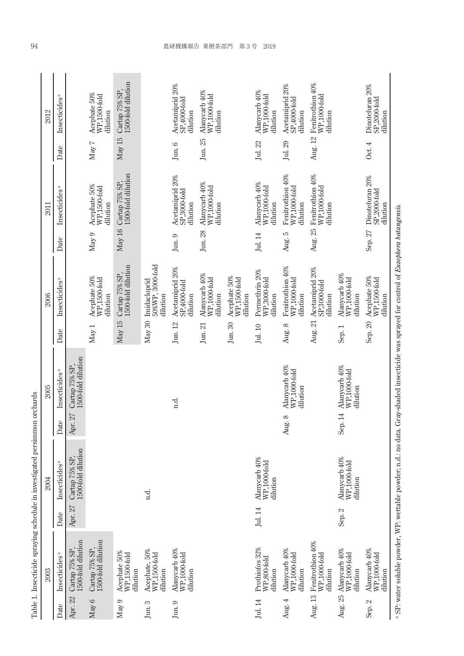|         | 2003                                         |         | 2004                                      |                  | 2005                                                                                                                                                 |                    | 2006                                         |                 | 2011                                         |          | 2012                                         |
|---------|----------------------------------------------|---------|-------------------------------------------|------------------|------------------------------------------------------------------------------------------------------------------------------------------------------|--------------------|----------------------------------------------|-----------------|----------------------------------------------|----------|----------------------------------------------|
| Date    | Insecticides <sup>a</sup>                    | Date    | Insecticides <sup>ª</sup>                 | Date             | Insecticides <sup>a</sup>                                                                                                                            | Date               | Insecticides <sup>ª</sup>                    | Date            | Insecticides <sup>ª</sup>                    | Date     | Insecticides <sup>a</sup>                    |
| Apr. 22 | 1500-fold dilution<br>Cartap 75% SP          | Apr. 27 | 1500-fold dilution<br>Cartap 75% SP       | 27<br>Apr.       | 1500-fold dilution<br>Cartap 75% SP                                                                                                                  |                    |                                              |                 |                                              |          |                                              |
| May 6   | 1500-fold dilution<br>Cartap 75% SP          |         |                                           |                  |                                                                                                                                                      | May 1              | Acephate 50%<br>WP,1500-fold<br>dilution     | May 9           | Acephate 50%<br>WP,1500-fold<br>dilution     | May 7    | Acephate 50%<br>WP.1500-fold<br>dilution     |
| May 9   | Acephate 50%<br>WP,1500-fold<br>dilution     |         |                                           |                  |                                                                                                                                                      | May 15             | 1500-fold dilution<br>Cartap 75% SP,         | May 16          | Cartap 75% SP,<br>1500-fold dilution         | May 15   | 1500-fold dilution<br>Cartap 75% SP,         |
| Jun. 3  | Acephate, 50%<br>WP,1500-fold<br>dilution    |         | n.d.                                      |                  |                                                                                                                                                      | May 30             | 50%WP, 3000-fold<br>Imidacloprid<br>dilution |                 |                                              |          |                                              |
| Jun. 9  | Alanycarb 40%<br>WP.1000-fold<br>dilution    |         |                                           |                  | n.d.                                                                                                                                                 | Jun. 12            | Acetamiprid 20%<br>SP,4000-fold<br>dilution  | $\,$ Jun. $\,9$ | Acetamiprid 20%<br>SP,3000-fold<br>dilution  | Jun. $6$ | Acetamiprid 20%<br>SP,4000-fold<br>dilution  |
|         |                                              |         |                                           |                  |                                                                                                                                                      | $\rm{Jun.}$ $21$   | Alanycarb 40%<br>WP,1000-fold<br>dilution    | Jun. 28         | Alanycarb 40%<br>WP,1000-fold<br>dilution    | Jun. 25  | Alanycarb 40%<br>WP,1000-fold<br>dilution    |
|         |                                              |         |                                           |                  |                                                                                                                                                      | Jun. 30            | Acephate 50%<br>WP,1500-fold<br>dilution     |                 |                                              |          |                                              |
| Jul. 14 | Prothiofos 32%<br>WP,800-fold<br>dilution    | Jul. 14 | Alanycarb 40%<br>WP.1000-fold<br>dilution |                  |                                                                                                                                                      | $_{\rm{Jul.}\ 10}$ | Permethrin 20%<br>WP,3000-fold<br>dilution   | Jul. 14         | Alanycarb 40%<br>WP,1000-fold<br>dilution    | Jul. 22  | Alanycarb 40%<br>WP.1000-fold<br>dilution    |
| Aug. 4  | Alanycarb 40%<br>WP,1000-fold<br>dilution    |         |                                           | $\infty$<br>Aug. | Alanycarb 40%<br>WP,1000-fold<br>dilution                                                                                                            | Aug. 8             | Fenitrothion 40%<br>WP,1000-fold<br>dilution | Aug. 5          | Fenitrothion 40%<br>WP,1000-fold<br>dilution | Jul. 29  | Acetamiprid 20%<br>SP,4000-fold<br>dilution  |
| Aug. 13 | Fenitrothion 40%<br>WP,1000-fold<br>dilution |         |                                           |                  |                                                                                                                                                      | Aug. 21            | Acetamiprid 20%<br>SP,3000-fold<br>dilution  | Aug. 25         | Fenitrothion 40%<br>WP,1000-fold<br>dilution | Aug. 12  | Fenitrothion 40%<br>WP,1000-fold<br>dilution |
| Aug. 25 | Alanycarb 40%<br>WP,1000-fold<br>dilution    | Sep. 2  | Alanycarb 40%<br>WP,1000-fold<br>dilution | 14<br>Sep.       | Alanycarb 40%<br>WP,1000-fold<br>dilution                                                                                                            | Sep.1              | Alanycarb 40%<br>WP,1000-fold<br>dilution    |                 |                                              |          |                                              |
| Sep. 2  | Alanycarb 40%<br>WP.1000-fold<br>dilution    |         |                                           |                  |                                                                                                                                                      | Sep. 20            | Acephate 50%<br>WP.1500-fold<br>dilution     | Sep. 27         | Dinotefuran 20%<br>SP,2000-fold<br>dilution  | Oct. 4   | Dinotefuran 20%<br>SP,2000-fold<br>dilution  |
|         |                                              |         |                                           |                  | <sup>a</sup> SP: water soluble powder, WP: wettable powder; n.d.: no data. Gray-shaded insecticide was sprayed for control of Euzophera batangensis. |                    |                                              |                 |                                              |          |                                              |

Table 1. Insecticide spraying schedule in investigated persimmon orchards Table 1. Insecticide spraying schedule in investigated persimmon orchards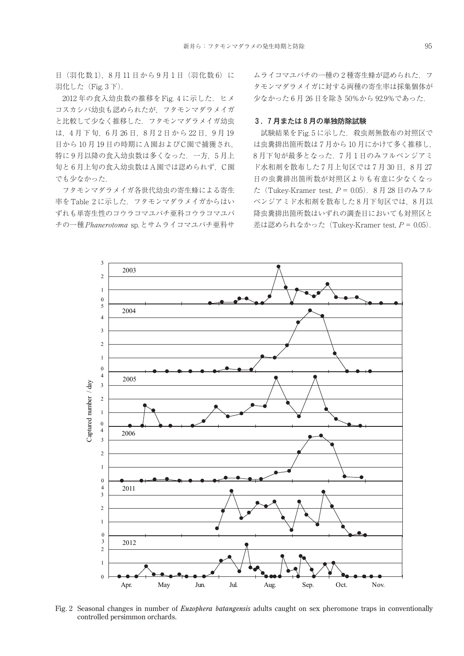日 (羽化数1), 8月11日から9月1日 (羽化数6)に 羽化した (Fig. 3 下).

2012年の食入幼虫数の推移をFig. 4 に示した. ヒメ コスカシバ幼虫も認められたが,フタモンマダラメイガ と比較して少なく推移した.フタモンマダラメイガ幼虫 は,4 月下旬,6 月 26 日,8 月 2 日から 22 日,9 月 19 日から10月19日の時期にA園およびC園で捕獲され, 特に9月以降の食入幼虫数は多くなった. 一方,5月上 旬と 6 月上旬の食入幼虫数はA園では認められず,C園 でも少なかった.

フタモンマダラメイガ各世代幼虫の寄生蜂による寄生 率をTable 2 に示した.フタモンマダラメイガからはい ずれも単寄生性のコウラコマユバチ亜科コウラコマユバ チの一種Phanerotoma sp.とサムライコマユバチ亜科サ

ムライコマユバチの一種の2種寄生蜂が認められた. フ タモンマダラメイガに対する両種の寄生率は採集個体が 少なかった 6 月 26 日を除き 50%から 92.9%であった.

#### 3 .7 月または 8 月の単独防除試験

試験結果をFig. 5 に示した. 殺虫剤無散布の対照区で は虫糞排出箇所数は 7 月から 10 月にかけて多く推移し, 8月下旬が最多となった. 7月1日のみフルベンジアミ ド水和剤を散布した7月上旬区では7月30日,8月27 日の虫糞排出箇所数が対照区よりも有意に少なくなっ た (Tukey-Kramer test,  $P = 0.05$ ). 8月28日のみフル ベンジアミド水和剤を散布した 8 月下旬区では,8 月以 降虫糞排出箇所数はいずれの調査日においても対照区と 差は認められなかった (Tukey-Kramer test,  $P = 0.05$ ).



Fig. 2 Seasonal changes in number of *Euzophera batangensis* adults caught on sex pheromone traps in conventionally controlled persimmon orchards.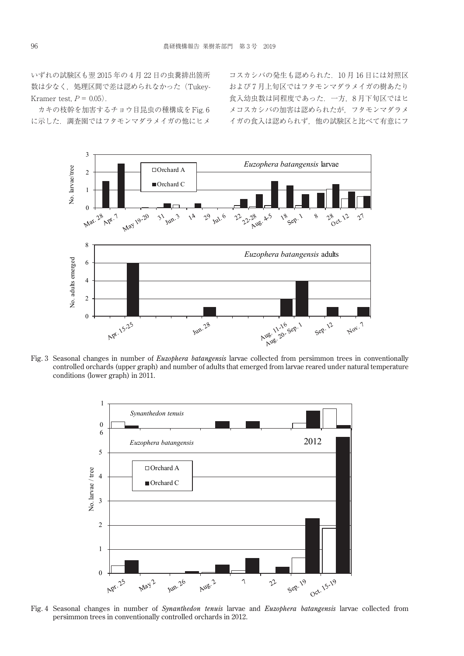いずれの試験区も翌 2015 年の 4 月 22 日の虫糞排出箇所 数は少なく、処理区間で差は認められなかった (Tukey-Kramer test,  $P = 0.05$ .

カキの枝幹を加害するチョウ目昆虫の種構成をFig. 6 に示した.調査園ではフタモンマダラメイガの他にヒメ

コスカシバの発生も認められた.10 月 16 日には対照区 および 7 月上旬区ではフタモンマダラメイガの樹あたり 食入幼虫数は同程度であった.一方,8 月下旬区ではヒ メコスカシバの加害は認められたが,フタモンマダラメ イガの食入は認められず,他の試験区と比べて有意にフ



Fig. 3 Seasonal changes in number of *Euzophera batangensis* larvae collected from persimmon trees in conventionally controlled orchards (upper graph) and number of adults that emerged from larvae reared under natural temperature conditions (lower graph) in 2011.



Fig. 4 Seasonal changes in number of *Synanthedon tenuis* larvae and *Euzophera batangensis* larvae collected from persimmon trees in conventionally controlled orchards in 2012.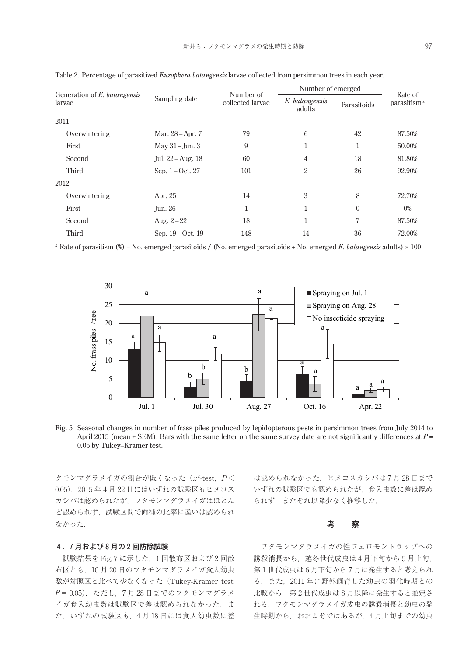| Generation of E. batangensis<br>larvae | Sampling date     | Number of<br>collected larvae | Number of emerged        |             | Rate of                 |
|----------------------------------------|-------------------|-------------------------------|--------------------------|-------------|-------------------------|
|                                        |                   |                               | E. batangensis<br>adults | Parasitoids | parasitism <sup>z</sup> |
| 2011                                   |                   |                               |                          |             |                         |
| Overwintering                          | Mar. 28 – Apr. 7  | 79                            | 6                        | 42          | 87.50%                  |
| First                                  | May $31 -$ Jun. 3 | 9                             |                          | 1           | 50.00%                  |
| Second                                 | Jul. 22 – Aug. 18 | 60                            | 4                        | 18          | 81.80%                  |
| Third                                  | Sep. 1-Oct. 27    | 101                           | 2                        | 26          | 92.90%                  |
| 2012                                   |                   |                               |                          |             |                         |
| Overwintering                          | Apr. 25           | 14                            | 3                        | 8           | 72.70%                  |
| First                                  | <b>Jun. 26</b>    | T                             |                          | $\Omega$    | 0%                      |
| Second                                 | Aug. $2 - 22$     | 18                            | 1                        | 7           | 87.50%                  |
| Third                                  | Sep. 19 – Oct. 19 | 148                           | 14                       | 36          | 72.00%                  |

Table 2. Percentage of parasitized *Euzophera batangensis* larvae collected from persimmon trees in each year.

<sup>z</sup> Rate of parasitism (%) = No. emerged parasitoids / (No. emerged parasitoids + No. emerged *E. batangensis* adults) × 100





タモンマダラメイガの割合が低くなった ( $x^2$ -test,  $P$ < 0.05).2015 年 4 月 22 日にはいずれの試験区もヒメコス カシバは認められたが,フタモンマダラメイガはほとん ど認められず,試験区間で両種の比率に違いは認められ なかった.

#### 4 .7 月および 8 月の 2 回防除試験

試験結果をFig. 7 に示した.1 回散布区および 2 回散 布区とも,10 月 20 日のフタモンマダラメイガ食入幼虫 数が対照区と比べて少なくなった(Tukey-Kramer test, *P*= 0.05).ただし,7 月 28 日までのフタモンマダラメ イガ食入幼虫数は試験区で差は認められなかった. ま た,いずれの試験区も,4 月 18 日には食入幼虫数に差 は認められなかった. ヒメコスカシバは7月28日まで いずれの試験区でも認められたが,食入虫数に差は認め られず,またそれ以降少なく推移した.

# 考 察

フタモンマダラメイガの性フェロモントラップへの 誘殺消長から,越冬世代成虫は 4 月下旬から 5 月上旬, 第 1 世代成虫は 6 月下旬から 7 月に発生すると考えられ る.また,2011 年に野外飼育した幼虫の羽化時期との 比較から,第 2 世代成虫は 8 月以降に発生すると推定さ れる.フタモンマダラメイガ成虫の誘殺消長と幼虫の発 生時期から、おおよそではあるが、4月上旬までの幼虫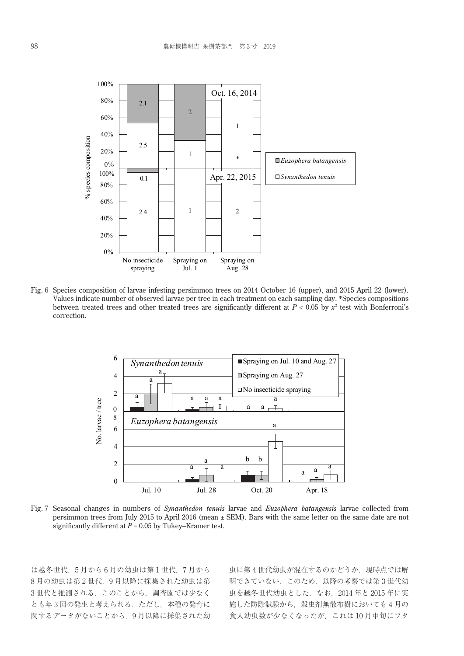

Fig. 6 Species composition of larvae infesting persimmon trees on 2014 October 16 (upper), and 2015 April 22 (lower). Values indicate number of observed larvae per tree in each treatment on each sampling day. \*Species compositions between treated trees and other treated trees are significantly different at  $P < 0.05$  by  $x^2$  test with Bonferroni's correction.



Fig. 7 Seasonal changes in numbers of *Synanthedon tenuis* larvae and *Euzophera batangensis* larvae collected from persimmon trees from July 2015 to April 2016 (mean ± SEM). Bars with the same letter on the same date are not significantly different at *P* = 0.05 by Tukey–Kramer test.

は越冬世代, 5月から6月の幼虫は第1世代, 7月から 8 月の幼虫は第 2 世代,9 月以降に採集された幼虫は第 3世代と推測される. このことから、調査園では少なく とも年3回の発生と考えられる. ただし、本種の発育に 関するデータがないことから,9 月以降に採集された幼 虫に第4世代幼虫が混在するのかどうか、現時点では解 明できていない.このため,以降の考察では第 3 世代幼 虫を越冬世代幼虫とした.なお,2014 年と 2015 年に実 施した防除試験から,殺虫剤無散布樹においても 4 月の 食入幼虫数が少なくなったが,これは 10 月中旬にフタ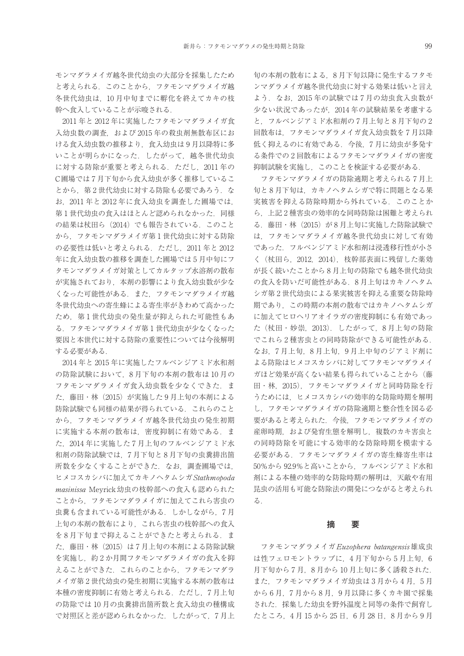2011 年と 2012 年に実施したフタモンマダラメイガ食 入幼虫数の調査、および 2015年の殺虫剤無散布区にお ける食入幼虫数の推移より,食入幼虫は 9 月以降特に多 いことが明らかになった. したがって、越冬世代幼虫 に対する防除が重要と考えられる.ただし,2011 年の C圃場では 7 月下旬から食入幼虫が多く推移しているこ とから、第2世代幼虫に対する防除も必要であろう. な お,2011 年と 2012 年に食入幼虫を調査した圃場では, 第1世代幼虫の食入はほとんど認められなかった. 同様 の結果は杖田ら (2014) でも報告されている. このこと から フタモンマダラメイガ第1世代幼虫に対する防除 の必要性は低いと考えられる. ただし、2011年と2012 年に食入幼虫数の推移を調査した圃場では 5 月中旬にフ タモンマダラメイガ対策としてカルタップ水溶剤の散布 が実施されており,本剤の影響により食入幼虫数が少な くなった可能性がある.また,フタモンマダラメイガ越 冬世代幼虫への寄生蜂による寄生率がきわめて高かった ため、第1世代幼虫の発生量が抑えられた可能性もあ る. フタモンマダラメイガ第1世代幼虫が少なくなった 要因と本世代に対する防除の重要性については今後解明 する必要がある.

2014 年と 2015 年に実施したフルベンジアミド水和剤 の防除試験において,8 月下旬の本剤の散布は 10 月の フタモンマダラメイガ食入幼虫数を少なくできた.ま た,藤田・林(2015)が実施した 9 月上旬の本剤による 防除試験でも同様の結果が得られている.これらのこと から,フタモンマダラメイガ越冬世代幼虫の発生初期 に実施する本剤の散布は、密度抑制に有効である. ま た,2014 年に実施した 7 月上旬のフルベンジアミド水 和剤の防除試験では,7 月下旬と 8 月下旬の虫糞排出箇 所数を少なくすることができた. なお、調査圃場では, ヒメコスカシバに加えてカキノヘタムシガStathmopoda masinissa Meyrick幼虫の枝幹部への食入も認められた ことから,フタモンマダラメイガに加えてこれら害虫の 虫糞も含まれている可能性がある.しかしながら,7 月 上旬の本剤の散布により,これら害虫の枝幹部への食入 を8月下旬まで抑えることができたと考えられる. ま た、藤田・林(2015)は7月上旬の本剤による防除試験 を実施し,約 2 か月間フタモンマダラメイガの食入を抑 えることができた.これらのことから,フタモンマダラ メイガ第 2 世代幼虫の発生初期に実施する本剤の散布は 本種の密度抑制に有効と考えられる. ただし、7月上旬 の防除では 10 月の虫糞排出箇所数と食入幼虫の種構成 で対照区と差が認められなかった.したがって,7 月上

旬の本剤の散布による,8 月下旬以降に発生するフタモ ンマダラメイガ越冬世代幼虫に対する効果は低いと言え よう. なお、2015年の試験では7月の幼虫食入虫数が 少ない状況であったが,2014 年の試験結果を考慮する と,フルベンジアミド水和剤の 7 月上旬と 8 月下旬の 2 回散布は,フタモンマダラメイガ食入幼虫数を 7 月以降 低く抑えるのに有効である. 今後、7月に幼虫が多発す る条件での 2 回散布によるフタモンマダラメイガの密度 抑制試験を実施し,このことを検証する必要がある.

フタモンマダラメイガの防除適期と考えられる 7 月上 旬と 8 月下旬は,カキノヘタムシガで特に問題となる果 実被害を抑える防除時期から外れている. このことか ら,上記 2 種害虫の効率的な同時防除は困難と考えられ る. 藤田・林 (2015) が8月上旬に実施した防除試験で は,フタモンマダラメイガ越冬世代幼虫に対して有効 であった.フルベンジアミド水和剤は浸透移行性が小さ く(杖田ら,2012,2014),枝幹部表面に残留した薬効 が長く続いたことから 8 月上旬の防除でも越冬世代幼虫 の食入を防いだ可能性がある.8 月上旬はカキノヘタム シガ第 2 世代幼虫による果実被害を抑える重要な防除時 期であり,この時期の本剤の散布ではカキノヘタムシガ に加えてヒロヘリアオイラガの密度抑制にも有効であっ た(杖田・妙崇,2013).したがって,8 月上旬の防除 でこれら 2 種害虫との同時防除ができる可能性がある. なお,7 月上旬,8 月上旬,9 月上中旬のジアミド剤に よる防除はヒメコスカシバに対してフタモンマダラメイ ガほど効果が高くない結果も得られていることから(藤 田・林,2015),フタモンマダラメイガと同時防除を行 うためには,ヒメコスカシバの効率的な防除時期を解明 し,フタモンマダラメイガの防除適期と整合性を図る必 要があると考えられた.今後,フタモンマダラメイガの 産卵時期,および発育生態を解明し,複数のカキ害虫と の同時防除を可能にする効率的な防除時期を模索する 必要がある.フタモンマダラメイガの寄生蜂寄生率は 50%から 92.9%と高いことから,フルベンジアミド水和 剤による本種の効率的な防除時期の解明は,天敵や有用 昆虫の活用も可能な防除法の開発につながると考えられ る.

# 摘 要

フタモンマダラメイガEuzophera batangensis雄成虫 は性フェロモントラップに、4月下旬から5月上旬,6 月下旬から7月、8月から10月上旬に多く誘殺された. また,フタモンマダラメイガ幼虫は 3 月から 4 月,5 月 から 6 月,7 月から 8 月,9 月以降に多くカキ園で採集 された.採集した幼虫を野外温度と同等の条件で飼育し たところ,4 月 15 から 25 日,6 月 28 日,8 月から 9 月